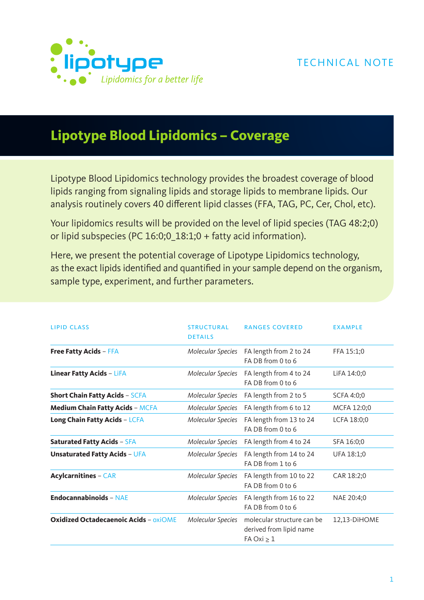

# **Lipotype Blood Lipidomics – Coverage**

Lipotype Blood Lipidomics technology provides the broadest coverage of blood lipids ranging from signaling lipids and storage lipids to membrane lipids. Our analysis routinely covers 40 different lipid classes (FFA, TAG, PC, Cer, Chol, etc).

Your lipidomics results will be provided on the level of lipid species (TAG 48:2;0) or lipid subspecies (PC 16:0;0\_18:1;0 + fatty acid information).

Here, we present the potential coverage of Lipotype Lipidomics technology, as the exact lipids identified and quantified in your sample depend on the organism, sample type, experiment, and further parameters.

| <b>LIPID CLASS</b>                           | <b>STRUCTURAL</b><br><b>DETAILS</b> | <b>RANGES COVERED</b>                                                    | <b>EXAMPLE</b> |
|----------------------------------------------|-------------------------------------|--------------------------------------------------------------------------|----------------|
| <b>Free Fatty Acids - FFA</b>                | Molecular Species                   | FA length from 2 to 24<br>FA DB from 0 to 6                              | FFA 15:1;0     |
| Linear Fatty Acids - LiFA                    | Molecular Species                   | FA length from 4 to 24<br>FA DB from 0 to 6                              | LiFA 14:0;0    |
| <b>Short Chain Fatty Acids - SCFA</b>        | Molecular Species                   | FA length from 2 to 5                                                    | SCFA 4:0;0     |
| <b>Medium Chain Fatty Acids - MCFA</b>       | Molecular Species                   | FA length from 6 to 12                                                   | MCFA 12:0;0    |
| Long Chain Fatty Acids - LCFA                | Molecular Species                   | FA length from 13 to 24<br>FA DB from 0 to 6                             | LCFA 18:0;0    |
| <b>Saturated Fatty Acids - SFA</b>           | Molecular Species                   | FA length from 4 to 24                                                   | SFA 16:0;0     |
| <b>Unsaturated Fatty Acids - UFA</b>         | Molecular Species                   | FA length from 14 to 24<br>FA DB from 1 to 6                             | UFA 18:1;0     |
| <b>Acylcarnitines - CAR</b>                  | Molecular Species                   | FA length from 10 to 22<br>FA DB from 0 to 6                             | CAR 18:2;0     |
| <b>Endocannabinoids - NAE</b>                | Molecular Species                   | FA length from 16 to 22<br>FA DB from 0 to 6                             | NAE 20:4;0     |
| <b>Oxidized Octadecaenoic Acids - OXIOME</b> | Molecular Species                   | molecular structure can be<br>derived from lipid name<br>FA Oxi $\geq 1$ | 12,13-DIHOME   |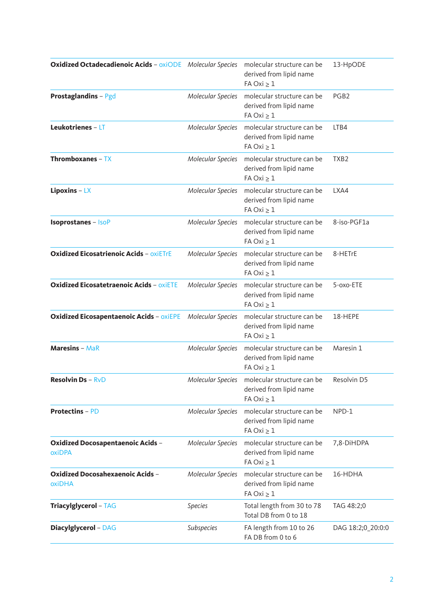| <b>Oxidized Octadecadienoic Acids - oxiODE</b> Molecular Species |                   | molecular structure can be<br>derived from lipid name<br>$FA Oxi \geq 1$ | 13-HpODE          |
|------------------------------------------------------------------|-------------------|--------------------------------------------------------------------------|-------------------|
| <b>Prostaglandins - Pgd</b>                                      | Molecular Species | molecular structure can be<br>derived from lipid name<br>$FA Oxi \geq 1$ | PGB <sub>2</sub>  |
| Leukotrienes - LT                                                | Molecular Species | molecular structure can be<br>derived from lipid name<br>$FA Oxi \geq 1$ | LTB4              |
| <b>Thromboxanes - TX</b>                                         | Molecular Species | molecular structure can be<br>derived from lipid name<br>$FA Oxi \geq 1$ | TXB <sub>2</sub>  |
| Lipoxins $-$ LX                                                  | Molecular Species | molecular structure can be<br>derived from lipid name<br>$FA Oxi \geq 1$ | LXA4              |
| <b>Isoprostanes - IsoP</b>                                       | Molecular Species | molecular structure can be<br>derived from lipid name<br>FA Oxi $\geq 1$ | 8-iso-PGF1a       |
| <b>Oxidized Eicosatrienoic Acids - OXIETrE</b>                   | Molecular Species | molecular structure can be<br>derived from lipid name<br>$FA Oxi \geq 1$ | 8-HETrE           |
| <b>Oxidized Eicosatetraenoic Acids - OXIETE</b>                  | Molecular Species | molecular structure can be<br>derived from lipid name<br>$FA Oxi \geq 1$ | 5-oxo-ETE         |
| <b>Oxidized Eicosapentaenoic Acids - OXIEPE</b>                  | Molecular Species | molecular structure can be<br>derived from lipid name<br>FA Oxi $\geq 1$ | 18-HEPE           |
| <b>Maresins - MaR</b>                                            | Molecular Species | molecular structure can be<br>derived from lipid name<br>$FA Oxi \geq 1$ | Maresin 1         |
| <b>Resolvin Ds</b> – $RvD$                                       | Molecular Species | molecular structure can be<br>derived from lipid name<br>$FA Oxi \geq 1$ | Resolvin D5       |
| <b>Protectins - PD</b>                                           | Molecular Species | molecular structure can be<br>derived from lipid name<br>$FA Oxi \geq 1$ | NPD-1             |
| Oxidized Docosapentaenoic Acids -<br>oxiDPA                      | Molecular Species | molecular structure can be<br>derived from lipid name<br>FA Oxi $\geq 1$ | 7,8-DIHDPA        |
| <b>Oxidized Docosahexaenoic Acids -</b><br>oxiDHA                | Molecular Species | molecular structure can be<br>derived from lipid name<br>FA Oxi $\geq 1$ | 16-HDHA           |
| Triacylglycerol - TAG                                            | <b>Species</b>    | Total length from 30 to 78<br>Total DB from 0 to 18                      | TAG 48:2;0        |
| <b>Diacylglycerol - DAG</b>                                      | Subspecies        | FA length from 10 to 26<br>FA DB from 0 to 6                             | DAG 18:2;0_20:0:0 |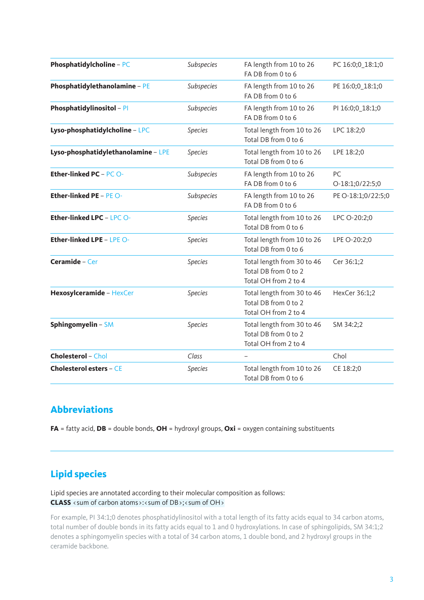| Phosphatidylcholine - PC            | Subspecies     | FA length from 10 to 26<br>FA DB from 0 to 6                               | PC 16:0;0_18:1;0      |
|-------------------------------------|----------------|----------------------------------------------------------------------------|-----------------------|
| Phosphatidylethanolamine - PE       | Subspecies     | FA length from 10 to 26<br>FA DB from 0 to 6                               | PE 16:0;0_18:1;0      |
| Phosphatidylinositol - PI           | Subspecies     | FA length from 10 to 26<br>FA DB from 0 to 6                               | PI 16:0;0_18:1;0      |
| Lyso-phosphatidylcholine - LPC      | <b>Species</b> | Total length from 10 to 26<br>Total DB from 0 to 6                         | LPC 18:2;0            |
| Lyso-phosphatidylethanolamine - LPE | <b>Species</b> | Total length from 10 to 26<br>Total DB from 0 to 6                         | LPE 18:2;0            |
| <b>Ether-linked PC - PC O-</b>      | Subspecies     | FA length from 10 to 26<br>FA DB from 0 to 6                               | PC<br>O-18:1;0/22:5;0 |
| <b>Ether-linked PE - PE O-</b>      | Subspecies     | FA length from 10 to 26<br>FA DB from 0 to 6                               | PE O-18:1;0/22:5;0    |
| Ether-linked LPC - LPC O-           | <b>Species</b> | Total length from 10 to 26<br>Total DB from 0 to 6                         | LPC O-20:2;0          |
| <b>Ether-linked LPE - LPE O-</b>    | <b>Species</b> | Total length from 10 to 26<br>Total DB from 0 to 6                         | LPE O-20:2;0          |
| Ceramide - Cer                      | <b>Species</b> | Total length from 30 to 46<br>Total DB from 0 to 2<br>Total OH from 2 to 4 | Cer 36:1;2            |
| Hexosylceramide - HexCer            | <b>Species</b> | Total length from 30 to 46<br>Total DB from 0 to 2<br>Total OH from 2 to 4 | HexCer 36:1;2         |
| Sphingomyelin - SM                  | <b>Species</b> | Total length from 30 to 46<br>Total DB from 0 to 2<br>Total OH from 2 to 4 | SM 34:2;2             |
| <b>Cholesterol - Chol</b>           | Class          |                                                                            | Chol                  |
| <b>Cholesterol esters - CE</b>      | <b>Species</b> | Total length from 10 to 26<br>Total DB from 0 to 6                         | CE 18:2;0             |

#### **Abbreviations**

**FA** = fatty acid, **DB** = double bonds, **OH** = hydroxyl groups, **Oxi** = oxygen containing substituents

## **Lipid species**

Lipid species are annotated according to their molecular composition as follows: **CLASS** <sum of carbon atoms>:<sum of DB>;<sum of OH>

For example, PI 34:1;0 denotes phosphatidylinositol with a total length of its fatty acids equal to 34 carbon atoms, total number of double bonds in its fatty acids equal to 1 and 0 hydroxylations. In case of sphingolipids, SM 34:1;2 denotes a sphingomyelin species with a total of 34 carbon atoms, 1 double bond, and 2 hydroxyl groups in the ceramide backbone.